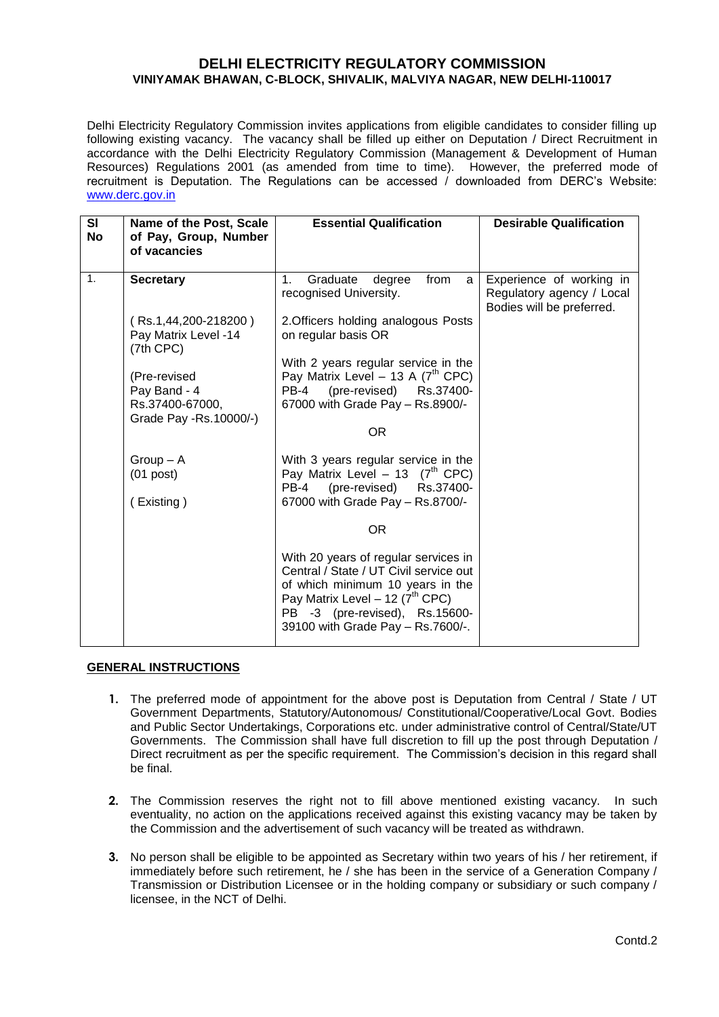# **DELHI ELECTRICITY REGULATORY COMMISSION VINIYAMAK BHAWAN, C-BLOCK, SHIVALIK, MALVIYA NAGAR, NEW DELHI-110017**

Delhi Electricity Regulatory Commission invites applications from eligible candidates to consider filling up following existing vacancy. The vacancy shall be filled up either on Deputation / Direct Recruitment in accordance with the Delhi Electricity Regulatory Commission (Management & Development of Human Resources) Regulations 2001 (as amended from time to time). However, the preferred mode of recruitment is Deputation. The Regulations can be accessed  $\ell$  downloaded from DERC's Website: [www.derc.gov.in](http://www.derc.gov.in/)

| <b>SI</b><br>No | Name of the Post, Scale<br>of Pay, Group, Number                          | <b>Essential Qualification</b>                                                                                                                                                                                                     | <b>Desirable Qualification</b>                                                     |
|-----------------|---------------------------------------------------------------------------|------------------------------------------------------------------------------------------------------------------------------------------------------------------------------------------------------------------------------------|------------------------------------------------------------------------------------|
|                 | of vacancies                                                              |                                                                                                                                                                                                                                    |                                                                                    |
| 1.              | <b>Secretary</b>                                                          | from<br>1.<br>degree<br>Graduate<br>a<br>recognised University.                                                                                                                                                                    | Experience of working in<br>Regulatory agency / Local<br>Bodies will be preferred. |
|                 | (Rs.1,44,200-218200)<br>Pay Matrix Level -14<br>$(7th$ CPC $)$            | 2. Officers holding analogous Posts<br>on regular basis OR                                                                                                                                                                         |                                                                                    |
|                 | (Pre-revised<br>Pay Band - 4<br>Rs.37400-67000,<br>Grade Pay -Rs.10000/-) | With 2 years regular service in the<br>Pay Matrix Level - 13 A $(7th$ CPC)<br>PB-4<br>(pre-revised) Rs.37400-<br>67000 with Grade Pay - Rs.8900/-                                                                                  |                                                                                    |
|                 |                                                                           | OR.                                                                                                                                                                                                                                |                                                                                    |
|                 | $Group - A$<br>$(01$ post)<br>(Existing)                                  | With 3 years regular service in the<br>Pay Matrix Level - 13 $(7^{th}$ CPC)<br>(pre-revised) Rs.37400-<br>PB-4<br>67000 with Grade Pay - Rs.8700/-                                                                                 |                                                                                    |
|                 |                                                                           |                                                                                                                                                                                                                                    |                                                                                    |
|                 |                                                                           | With 20 years of regular services in<br>Central / State / UT Civil service out<br>of which minimum 10 years in the<br>Pay Matrix Level - 12 $(7^{th}$ CPC)<br>PB -3 (pre-revised), Rs.15600-<br>39100 with Grade Pay - Rs. 7600/-. |                                                                                    |

### **GENERAL INSTRUCTIONS**

- **1.** The preferred mode of appointment for the above post is Deputation from Central / State / UT Government Departments, Statutory/Autonomous/ Constitutional/Cooperative/Local Govt. Bodies and Public Sector Undertakings, Corporations etc. under administrative control of Central/State/UT Governments. The Commission shall have full discretion to fill up the post through Deputation / Direct recruitment as per the specific requirement. The Commission's decision in this regard shall be final.
- **2.** The Commission reserves the right not to fill above mentioned existing vacancy. In such eventuality, no action on the applications received against this existing vacancy may be taken by the Commission and the advertisement of such vacancy will be treated as withdrawn.
- **3.** No person shall be eligible to be appointed as Secretary within two years of his / her retirement, if immediately before such retirement, he / she has been in the service of a Generation Company / Transmission or Distribution Licensee or in the holding company or subsidiary or such company / licensee, in the NCT of Delhi.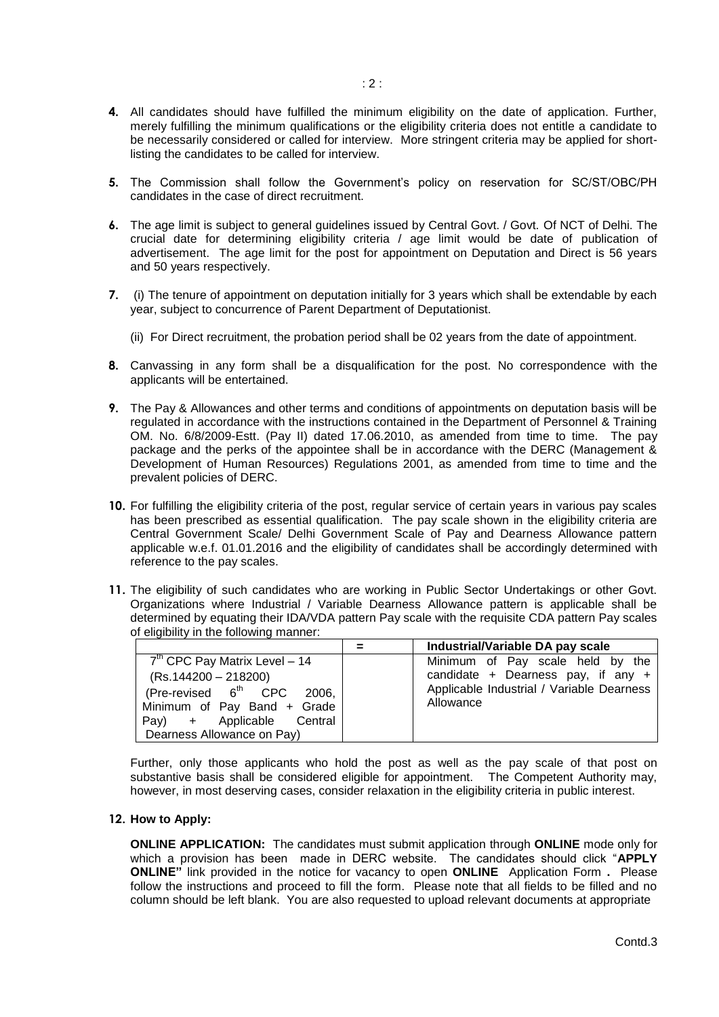- **4.** All candidates should have fulfilled the minimum eligibility on the date of application. Further, merely fulfilling the minimum qualifications or the eligibility criteria does not entitle a candidate to be necessarily considered or called for interview. More stringent criteria may be applied for shortlisting the candidates to be called for interview.
- **5.** The Commission shall follow the Government's policy on reservation for SC/ST/OBC/PH candidates in the case of direct recruitment.
- **6.** The age limit is subject to general guidelines issued by Central Govt. / Govt. Of NCT of Delhi. The crucial date for determining eligibility criteria / age limit would be date of publication of advertisement. The age limit for the post for appointment on Deputation and Direct is 56 years and 50 years respectively.
- **7.** (i) The tenure of appointment on deputation initially for 3 years which shall be extendable by each year, subject to concurrence of Parent Department of Deputationist.
	- (ii) For Direct recruitment, the probation period shall be 02 years from the date of appointment.
- **8.** Canvassing in any form shall be a disqualification for the post. No correspondence with the applicants will be entertained.
- **9.** The Pay & Allowances and other terms and conditions of appointments on deputation basis will be regulated in accordance with the instructions contained in the Department of Personnel & Training OM. No. 6/8/2009-Estt. (Pay II) dated 17.06.2010, as amended from time to time. The pay package and the perks of the appointee shall be in accordance with the DERC (Management & Development of Human Resources) Regulations 2001, as amended from time to time and the prevalent policies of DERC.
- **10.** For fulfilling the eligibility criteria of the post, regular service of certain years in various pay scales has been prescribed as essential qualification. The pay scale shown in the eligibility criteria are Central Government Scale/ Delhi Government Scale of Pay and Dearness Allowance pattern applicable w.e.f. 01.01.2016 and the eligibility of candidates shall be accordingly determined with reference to the pay scales.
- **11.** The eligibility of such candidates who are working in Public Sector Undertakings or other Govt. Organizations where Industrial / Variable Dearness Allowance pattern is applicable shall be determined by equating their IDA/VDA pattern Pay scale with the requisite CDA pattern Pay scales of eligibility in the following manner:

|                                                                                                                                                                                                    | $=$ | Industrial/Variable DA pay scale                                                                                                   |
|----------------------------------------------------------------------------------------------------------------------------------------------------------------------------------------------------|-----|------------------------------------------------------------------------------------------------------------------------------------|
| $7th$ CPC Pay Matrix Level - 14<br>(Rs.144200 - 218200)<br>(Pre-revised 6 <sup>th</sup> CPC<br>2006,<br>Minimum of Pay Band + Grade<br>Applicable<br>Pay)<br>Central<br>Dearness Allowance on Pay) |     | Minimum of Pay scale held by the<br>candidate + Dearness pay, if any $+$<br>Applicable Industrial / Variable Dearness<br>Allowance |

Further, only those applicants who hold the post as well as the pay scale of that post on substantive basis shall be considered eligible for appointment. The Competent Authority may, however, in most deserving cases, consider relaxation in the eligibility criteria in public interest.

### **12. How to Apply:**

**ONLINE APPLICATION:** The candidates must submit application through **ONLINE** mode only for which a provision has been made in DERC website. The candidates should click "**APPLY ONLINE"** link provided in the notice for vacancy to open **ONLINE** Application Form **.** Please follow the instructions and proceed to fill the form. Please note that all fields to be filled and no column should be left blank. You are also requested to upload relevant documents at appropriate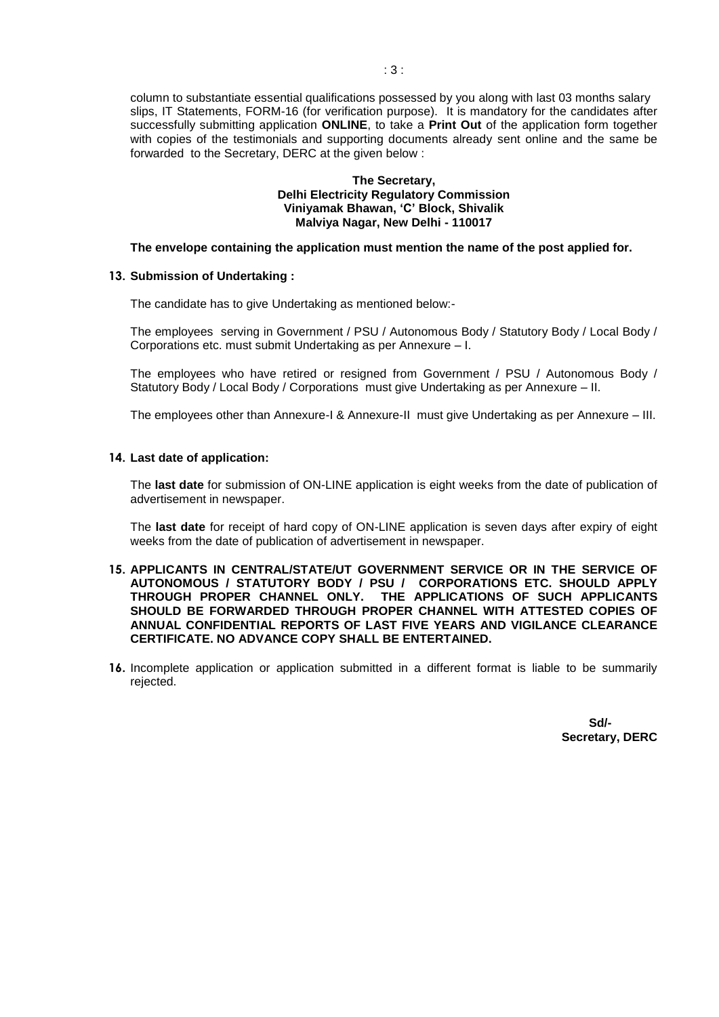column to substantiate essential qualifications possessed by you along with last 03 months salary slips, IT Statements, FORM-16 (for verification purpose). It is mandatory for the candidates after successfully submitting application **ONLINE**, to take a **Print Out** of the application form together with copies of the testimonials and supporting documents already sent online and the same be forwarded to the Secretary, DERC at the given below :

#### **The Secretary, Delhi Electricity Regulatory Commission Viniyamak Bhawan, 'C' Block, Shivalik Malviya Nagar, New Delhi - 110017**

#### **The envelope containing the application must mention the name of the post applied for.**

## **13. Submission of Undertaking :**

The candidate has to give Undertaking as mentioned below:-

The employees serving in Government / PSU / Autonomous Body / Statutory Body / Local Body / Corporations etc. must submit Undertaking as per Annexure – I.

The employees who have retired or resigned from Government / PSU / Autonomous Body / Statutory Body / Local Body / Corporations must give Undertaking as per Annexure – II.

The employees other than Annexure-I & Annexure-II must give Undertaking as per Annexure – III.

## **14. Last date of application:**

The **last date** for submission of ON-LINE application is eight weeks from the date of publication of advertisement in newspaper.

The **last date** for receipt of hard copy of ON-LINE application is seven days after expiry of eight weeks from the date of publication of advertisement in newspaper.

### **15. APPLICANTS IN CENTRAL/STATE/UT GOVERNMENT SERVICE OR IN THE SERVICE OF AUTONOMOUS / STATUTORY BODY / PSU / CORPORATIONS ETC. SHOULD APPLY THROUGH PROPER CHANNEL ONLY. THE APPLICATIONS OF SUCH APPLICANTS SHOULD BE FORWARDED THROUGH PROPER CHANNEL WITH ATTESTED COPIES OF ANNUAL CONFIDENTIAL REPORTS OF LAST FIVE YEARS AND VIGILANCE CLEARANCE CERTIFICATE. NO ADVANCE COPY SHALL BE ENTERTAINED.**

**16.** Incomplete application or application submitted in a different format is liable to be summarily rejected.

> **Sd/- Secretary, DERC**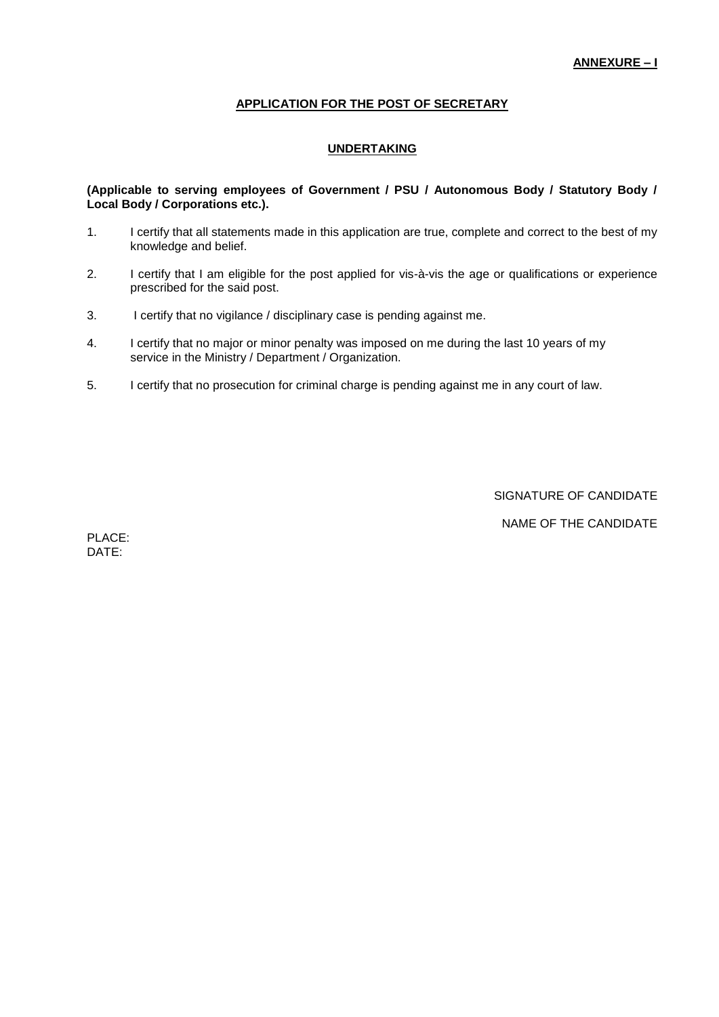## **APPLICATION FOR THE POST OF SECRETARY**

## **UNDERTAKING**

### **(Applicable to serving employees of Government / PSU / Autonomous Body / Statutory Body / Local Body / Corporations etc.).**

- 1. I certify that all statements made in this application are true, complete and correct to the best of my knowledge and belief.
- 2. I certify that I am eligible for the post applied for vis-à-vis the age or qualifications or experience prescribed for the said post.
- 3. I certify that no vigilance / disciplinary case is pending against me.
- 4. I certify that no major or minor penalty was imposed on me during the last 10 years of my service in the Ministry / Department / Organization.
- 5. I certify that no prosecution for criminal charge is pending against me in any court of law.

SIGNATURE OF CANDIDATE

NAME OF THE CANDIDATE

PLACE: DATE: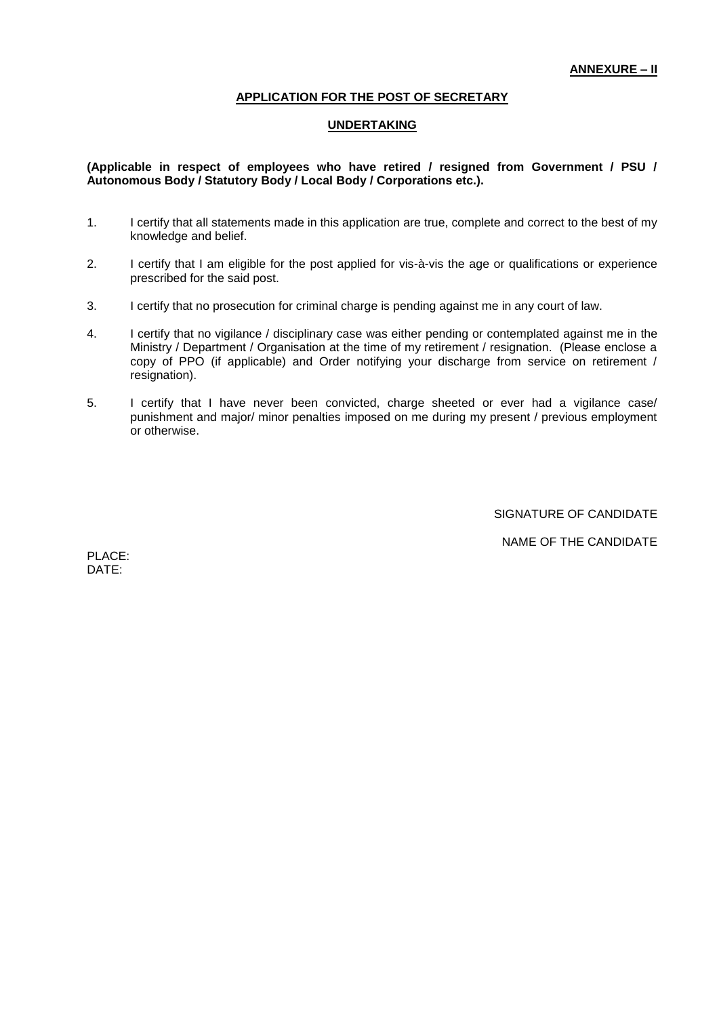## **APPLICATION FOR THE POST OF SECRETARY**

## **UNDERTAKING**

## **(Applicable in respect of employees who have retired / resigned from Government / PSU / Autonomous Body / Statutory Body / Local Body / Corporations etc.).**

- 1. I certify that all statements made in this application are true, complete and correct to the best of my knowledge and belief.
- 2. I certify that I am eligible for the post applied for vis-à-vis the age or qualifications or experience prescribed for the said post.
- 3. I certify that no prosecution for criminal charge is pending against me in any court of law.
- 4. I certify that no vigilance / disciplinary case was either pending or contemplated against me in the Ministry / Department / Organisation at the time of my retirement / resignation. (Please enclose a copy of PPO (if applicable) and Order notifying your discharge from service on retirement / resignation).
- 5. I certify that I have never been convicted, charge sheeted or ever had a vigilance case/ punishment and major/ minor penalties imposed on me during my present / previous employment or otherwise.

SIGNATURE OF CANDIDATE

NAME OF THE CANDIDATE

PLACE: DATE: